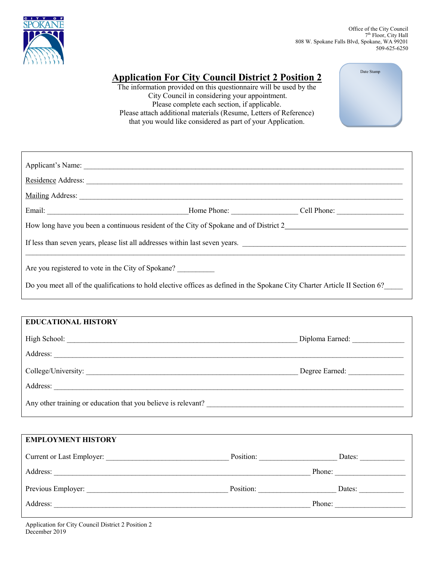

Date Stamp

# **Application For City Council District 2 Position 2**

The information provided on this questionnaire will be used by the City Council in considering your appointment. Please complete each section, if applicable. Please attach additional materials (Resume, Letters of Reference) that you would like considered as part of your Application.

| How long have you been a continuous resident of the City of Spokane and of District 2                                       |  |  |  |  |
|-----------------------------------------------------------------------------------------------------------------------------|--|--|--|--|
| If less than seven years, please list all addresses within last seven years.                                                |  |  |  |  |
| Are you registered to vote in the City of Spokane?                                                                          |  |  |  |  |
| Do you meet all of the qualifications to hold elective offices as defined in the Spokane City Charter Article II Section 6? |  |  |  |  |

| <b>EDUCATIONAL HISTORY</b>                                                                                                                                                                                                     |                 |
|--------------------------------------------------------------------------------------------------------------------------------------------------------------------------------------------------------------------------------|-----------------|
| High School: The School School School School School School School School School School School School School School School School School School School School School School School School School School School School School Sc | Diploma Earned: |
| Address:                                                                                                                                                                                                                       |                 |
| College/University:                                                                                                                                                                                                            | Degree Earned:  |
| Address:                                                                                                                                                                                                                       |                 |
| Any other training or education that you believe is relevant?                                                                                                                                                                  |                 |

| <b>EMPLOYMENT HISTORY</b> |           |        |
|---------------------------|-----------|--------|
| Current or Last Employer: | Position: | Dates: |
| Address:                  |           | Phone: |
| Previous Employer:        | Position: | Dates: |
| Address:                  |           | Phone: |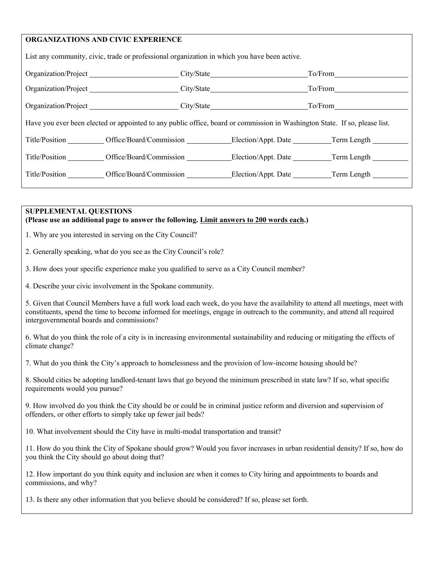## **ORGANIZATIONS AND CIVIC EXPERIENCE**

| List any community, civic, trade or professional organization in which you have been active.                               |                                                                        |            |         |  |  |
|----------------------------------------------------------------------------------------------------------------------------|------------------------------------------------------------------------|------------|---------|--|--|
| Organization/Project                                                                                                       |                                                                        |            |         |  |  |
| Organization/Project                                                                                                       |                                                                        | City/State | To/From |  |  |
| Organization/Project                                                                                                       |                                                                        |            | To/From |  |  |
| Have you ever been elected or appointed to any public office, board or commission in Washington State. If so, please list. |                                                                        |            |         |  |  |
|                                                                                                                            | Title/Position Office/Board/Commission Election/Appt. Date Term Length |            |         |  |  |
|                                                                                                                            | Title/Position Cffice/Board/Commission Election/Appt. Date Term Length |            |         |  |  |
|                                                                                                                            | Title/Position Office/Board/Commission Election/Appt. Date Term Length |            |         |  |  |
|                                                                                                                            |                                                                        |            |         |  |  |

#### **SUPPLEMENTAL QUESTIONS (Please use an additional page to answer the following. Limit answers to 200 words each.)**

1. Why are you interested in serving on the City Council?

2. Generally speaking, what do you see as the City Council's role?

3. How does your specific experience make you qualified to serve as a City Council member?

4. Describe your civic involvement in the Spokane community.

5. Given that Council Members have a full work load each week, do you have the availability to attend all meetings, meet with constituents, spend the time to become informed for meetings, engage in outreach to the community, and attend all required intergovernmental boards and commissions?

6. What do you think the role of a city is in increasing environmental sustainability and reducing or mitigating the effects of climate change?

7. What do you think the City's approach to homelessness and the provision of low-income housing should be?

8. Should cities be adopting landlord-tenant laws that go beyond the minimum prescribed in state law? If so, what specific requirements would you pursue?

9. How involved do you think the City should be or could be in criminal justice reform and diversion and supervision of offenders, or other efforts to simply take up fewer jail beds?

10. What involvement should the City have in multi-modal transportation and transit?

11. How do you think the City of Spokane should grow? Would you favor increases in urban residential density? If so, how do you think the City should go about doing that?

12. How important do you think equity and inclusion are when it comes to City hiring and appointments to boards and commissions, and why?

13. Is there any other information that you believe should be considered? If so, please set forth.